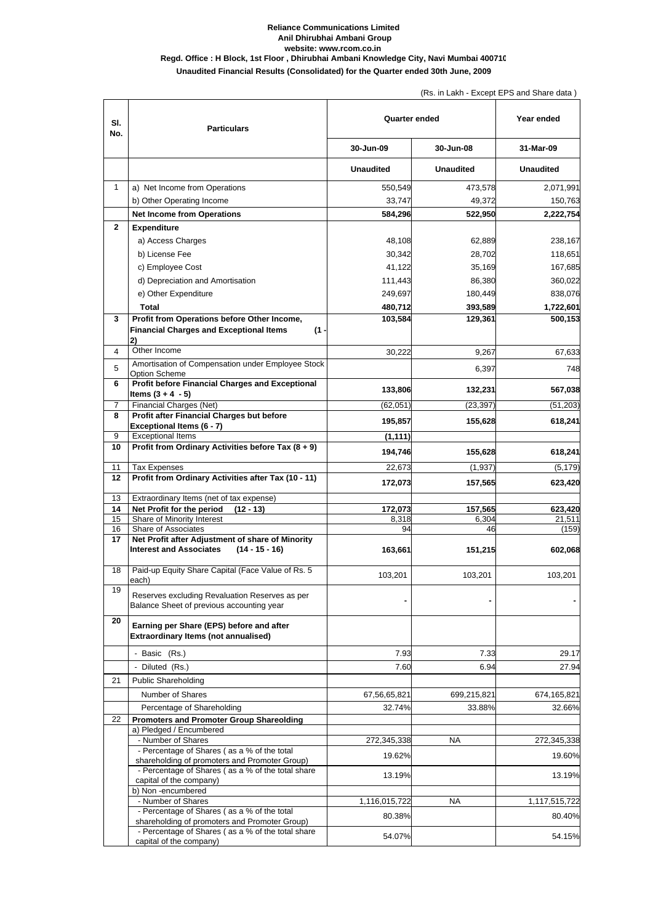| SI.<br>No.     | <b>Particulars</b>                                                                                         | <b>Quarter ended</b> |                  | Year ended        |
|----------------|------------------------------------------------------------------------------------------------------------|----------------------|------------------|-------------------|
|                |                                                                                                            | 30-Jun-09            | 30-Jun-08        | 31-Mar-09         |
|                |                                                                                                            | <b>Unaudited</b>     | <b>Unaudited</b> | <b>Unaudited</b>  |
| $\mathbf{1}$   | a) Net Income from Operations                                                                              | 550,549              | 473,578          | 2,071,991         |
|                | b) Other Operating Income                                                                                  | 33,747               | 49,372           | 150,763           |
|                | <b>Net Income from Operations</b>                                                                          | 584,296              | 522,950          | 2,222,754         |
| $\mathbf{2}$   | <b>Expenditure</b>                                                                                         |                      |                  |                   |
|                | a) Access Charges                                                                                          | 48,108               | 62,889           | 238,167           |
|                | b) License Fee                                                                                             | 30,342               | 28,702           | 118,651           |
|                | c) Employee Cost                                                                                           | 41,122               | 35,169           | 167,685           |
|                | d) Depreciation and Amortisation                                                                           | 111,443              | 86,380           | 360,022           |
|                | e) Other Expenditure                                                                                       | 249,697              | 180,449          | 838,076           |
|                | <b>Total</b>                                                                                               | 480,712              | 393,589          | 1,722,601         |
| $\mathbf{3}$   | Profit from Operations before Other Income,<br><b>Financial Charges and Exceptional Items</b><br>(1)<br>2) | 103,584              | 129,361          | 500,153           |
| 4              | Other Income                                                                                               | 30,222               | 9,267            | 67,633            |
| 5              | Amortisation of Compensation under Employee Stock<br><b>Option Scheme</b>                                  |                      | 6,397            | 748               |
| $6\phantom{1}$ | <b>Profit before Financial Charges and Exceptional</b><br>Items $(3 + 4 - 5)$                              | 133,806              | 132,231          | 567,038           |
| $\overline{7}$ | <b>Financial Charges (Net)</b>                                                                             | (62, 051)            | (23, 397)        | (51, 203)         |
| 8              | Profit after Financial Charges but before<br><b>Exceptional Items (6 - 7)</b>                              | 195,857              | 155,628          | 618,241           |
| 9              | <b>Exceptional Items</b>                                                                                   | (1, 111)             |                  |                   |
| 10             | Profit from Ordinary Activities before Tax (8 + 9)                                                         | 194,746              | 155,628          | 618,241           |
| 11             | <b>Tax Expenses</b>                                                                                        | 22,673               | (1,937)          | (5, 179)          |
| 12             | Profit from Ordinary Activities after Tax (10 - 11)                                                        | 172,073              | 157,565          | 623,420           |
| 13             | Extraordinary Items (net of tax expense)                                                                   |                      |                  |                   |
| 14<br>15       | Net Profit for the period<br>$(12 - 13)$<br>Share of Minority Interest                                     | 172,073<br>8,318     | 157,565<br>6,304 | 623,420<br>21,511 |
| 16             | <b>Share of Associates</b>                                                                                 | 94                   | 46               | (159)             |
| 17             | Net Profit after Adjustment of share of Minority<br>$(14 - 15 - 16)$<br><b>Interest and Associates</b>     | 163,661              | 151,215          | 602,068           |
| 18             | Paid-up Equity Share Capital (Face Value of Rs. 5<br>each)                                                 | 103,201              | 103,201          | 103,201           |
| 19             | Reserves excluding Revaluation Reserves as per<br>Balance Sheet of previous accounting year                |                      |                  |                   |
| 20             | Earning per Share (EPS) before and after<br><b>Extraordinary Items (not annualised)</b>                    |                      |                  |                   |
|                | - Basic (Rs.)                                                                                              | 7.93                 | 7.33             | 29.17             |
|                | - Diluted (Rs.)                                                                                            | 7.60                 | 6.94             | 27.94             |
| 21             | <b>Public Shareholding</b>                                                                                 |                      |                  |                   |
|                | Number of Shares                                                                                           | 67,56,65,821         | 699,215,821      | 674,165,821       |
|                | Percentage of Shareholding                                                                                 | 32.74%               | 33.88%           | 32.66%            |
| 22             | <b>Promoters and Promoter Group Shareolding</b>                                                            |                      |                  |                   |
|                | a) Pledged / Encumbered<br>- Number of Shares                                                              | 272,345,338          | <b>NA</b>        | 272,345,338       |
|                | - Percentage of Shares (as a % of the total<br>shareholding of promoters and Promoter Group)               | 19.62%               |                  | 19.60%            |
|                | - Percentage of Shares (as a % of the total share<br>capital of the company)                               | 13.19%               |                  | 13.19%            |
|                | b) Non-encumbered                                                                                          |                      |                  |                   |
|                | - Number of Shares                                                                                         | 1,116,015,722        | <b>NA</b>        | 1,117,515,722     |
|                | - Percentage of Shares (as a % of the total<br>shareholding of promoters and Promoter Group)               | 80.38%               |                  | 80.40%            |
|                | - Percentage of Shares (as a % of the total share<br>capital of the company)                               | 54.07%               |                  | 54.15%            |

## **Reliance Communications Limited Anil Dhirubhai Ambani Group website: www.rcom.co.in Regd. Office : H Block, 1st Floor , Dhirubhai Ambani Knowledge City, Navi Mumbai 400710 Unaudited Financial Results (Consolidated) for the Quarter ended 30th June, 2009**

(Rs. in Lakh - Except EPS and Share data )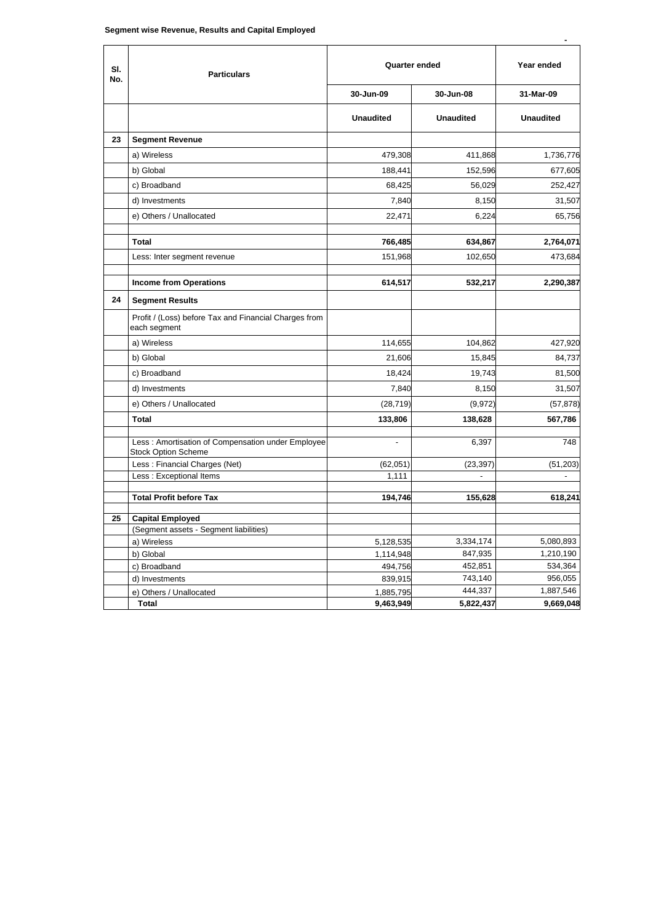| SI.<br>No. | <b>Particulars</b>                                                              | <b>Quarter ended</b> |                  | Year ended       |
|------------|---------------------------------------------------------------------------------|----------------------|------------------|------------------|
|            |                                                                                 | 30-Jun-09            | 30-Jun-08        | 31-Mar-09        |
|            |                                                                                 | <b>Unaudited</b>     | <b>Unaudited</b> | <b>Unaudited</b> |
| 23         | <b>Segment Revenue</b>                                                          |                      |                  |                  |
|            | a) Wireless                                                                     | 479,308              | 411,868          | 1,736,776        |
|            | b) Global                                                                       | 188,441              | 152,596          | 677,605          |
|            | c) Broadband                                                                    | 68,425               | 56,029           | 252,427          |
|            | d) Investments                                                                  | 7,840                | 8,150            | 31,507           |
|            | e) Others / Unallocated                                                         | 22,471               | 6,224            | 65,756           |
|            | <b>Total</b>                                                                    | 766,485              | 634,867          | 2,764,071        |
|            | Less: Inter segment revenue                                                     | 151,968              | 102,650          | 473,684          |
|            | <b>Income from Operations</b>                                                   | 614,517              | 532,217          | 2,290,387        |
| 24         | <b>Segment Results</b>                                                          |                      |                  |                  |
|            | Profit / (Loss) before Tax and Financial Charges from<br>each segment           |                      |                  |                  |
|            | a) Wireless                                                                     | 114,655              | 104,862          | 427,920          |
|            | b) Global                                                                       | 21,606               | 15,845           | 84,737           |
|            | c) Broadband                                                                    | 18,424               | 19,743           | 81,500           |
|            | d) Investments                                                                  | 7,840                | 8,150            | 31,507           |
|            | e) Others / Unallocated                                                         | (28, 719)            | (9, 972)         | (57, 878)        |
|            | <b>Total</b>                                                                    | 133,806              | 138,628          | 567,786          |
|            | Less: Amortisation of Compensation under Employee<br><b>Stock Option Scheme</b> | $\blacksquare$       | 6,397            | 748              |
|            | Less: Financial Charges (Net)                                                   | (62,051)             | (23, 397)        | (51, 203)        |
|            | Less: Exceptional Items                                                         | 1,111                |                  | $\blacksquare$   |
|            | <b>Total Profit before Tax</b>                                                  | 194,746              | 155,628          | 618,241          |
| 25         | <b>Capital Employed</b>                                                         |                      |                  |                  |
|            | (Segment assets - Segment liabilities)                                          |                      |                  |                  |
|            | a) Wireless                                                                     | 5,128,535            | 3,334,174        | 5,080,893        |
|            | b) Global                                                                       | 1,114,948            | 847,935          | 1,210,190        |
|            | c) Broadband                                                                    | 494,756              | 452,851          | 534,364          |
|            | d) Investments                                                                  | 839,915              | 743,140          | 956,055          |
|            | e) Others / Unallocated                                                         | 1,885,795            | 444,337          | 1,887,546        |
|            | <b>Total</b>                                                                    | 9,463,949            | 5,822,437        | 9,669,048        |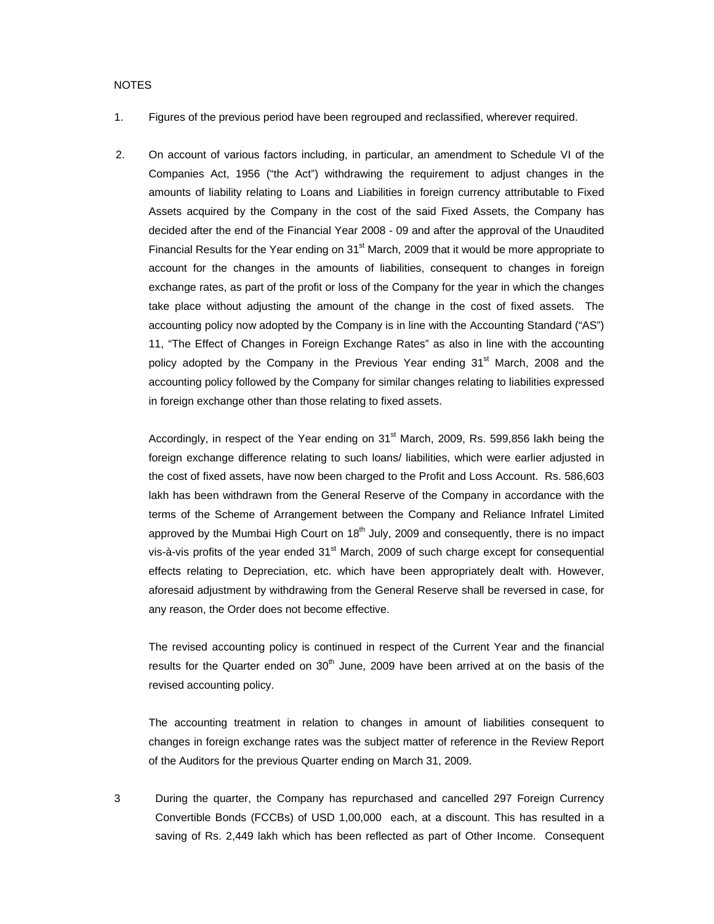## NOTES

- 1. Figures of the previous period have been regrouped and reclassified, wherever required.
- 2. On account of various factors including, in particular, an amendment to Schedule VI of the Companies Act, 1956 ("the Act") withdrawing the requirement to adjust changes in the amounts of liability relating to Loans and Liabilities in foreign currency attributable to Fixed Assets acquired by the Company in the cost of the said Fixed Assets, the Company has decided after the end of the Financial Year 2008 - 09 and after the approval of the Unaudited Financial Results for the Year ending on 31<sup>st</sup> March, 2009 that it would be more appropriate to account for the changes in the amounts of liabilities, consequent to changes in foreign exchange rates, as part of the profit or loss of the Company for the year in which the changes take place without adjusting the amount of the change in the cost of fixed assets. The accounting policy now adopted by the Company is in line with the Accounting Standard ("AS") 11, "The Effect of Changes in Foreign Exchange Rates" as also in line with the accounting policy adopted by the Company in the Previous Year ending  $31<sup>st</sup>$  March, 2008 and the accounting policy followed by the Company for similar changes relating to liabilities expressed in foreign exchange other than those relating to fixed assets.

Accordingly, in respect of the Year ending on  $31<sup>st</sup>$  March, 2009, Rs. 599,856 lakh being the foreign exchange difference relating to such loans/ liabilities, which were earlier adjusted in the cost of fixed assets, have now been charged to the Profit and Loss Account. Rs. 586,603 lakh has been withdrawn from the General Reserve of the Company in accordance with the terms of the Scheme of Arrangement between the Company and Reliance Infratel Limited approved by the Mumbai High Court on  $18<sup>th</sup>$  July, 2009 and consequently, there is no impact vis-à-vis profits of the year ended 31<sup>st</sup> March, 2009 of such charge except for consequential effects relating to Depreciation, etc. which have been appropriately dealt with. However, aforesaid adjustment by withdrawing from the General Reserve shall be reversed in case, for any reason, the Order does not become effective.

The revised accounting policy is continued in respect of the Current Year and the financial results for the Quarter ended on  $30<sup>th</sup>$  June, 2009 have been arrived at on the basis of the revised accounting policy.

The accounting treatment in relation to changes in amount of liabilities consequent to changes in foreign exchange rates was the subject matter of reference in the Review Report of the Auditors for the previous Quarter ending on March 31, 2009.

3 During the quarter, the Company has repurchased and cancelled 297 Foreign Currency Convertible Bonds (FCCBs) of USD 1,00,000 each, at a discount. This has resulted in a saving of Rs. 2,449 lakh which has been reflected as part of Other Income. Consequent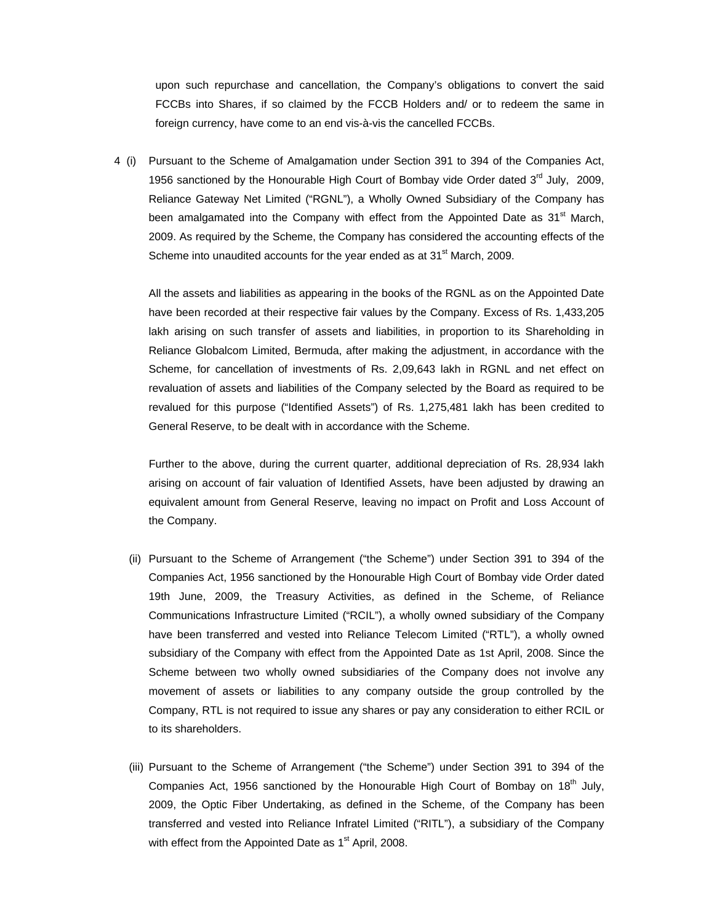upon such repurchase and cancellation, the Company's obligations to convert the said FCCBs into Shares, if so claimed by the FCCB Holders and/ or to redeem the same in foreign currency, have come to an end vis-à-vis the cancelled FCCBs.

4 (i) Pursuant to the Scheme of Amalgamation under Section 391 to 394 of the Companies Act, 1956 sanctioned by the Honourable High Court of Bombay vide Order dated  $3<sup>rd</sup>$  July, 2009, Reliance Gateway Net Limited ("RGNL"), a Wholly Owned Subsidiary of the Company has been amalgamated into the Company with effect from the Appointed Date as  $31<sup>st</sup>$  March, 2009. As required by the Scheme, the Company has considered the accounting effects of the Scheme into unaudited accounts for the year ended as at 31<sup>st</sup> March, 2009.

All the assets and liabilities as appearing in the books of the RGNL as on the Appointed Date have been recorded at their respective fair values by the Company. Excess of Rs. 1,433,205 lakh arising on such transfer of assets and liabilities, in proportion to its Shareholding in Reliance Globalcom Limited, Bermuda, after making the adjustment, in accordance with the Scheme, for cancellation of investments of Rs. 2,09,643 lakh in RGNL and net effect on revaluation of assets and liabilities of the Company selected by the Board as required to be revalued for this purpose ("Identified Assets") of Rs. 1,275,481 lakh has been credited to General Reserve, to be dealt with in accordance with the Scheme.

Further to the above, during the current quarter, additional depreciation of Rs. 28,934 lakh arising on account of fair valuation of Identified Assets, have been adjusted by drawing an equivalent amount from General Reserve, leaving no impact on Profit and Loss Account of the Company.

- (ii) Pursuant to the Scheme of Arrangement ("the Scheme") under Section 391 to 394 of the Companies Act, 1956 sanctioned by the Honourable High Court of Bombay vide Order dated 19th June, 2009, the Treasury Activities, as defined in the Scheme, of Reliance Communications Infrastructure Limited ("RCIL"), a wholly owned subsidiary of the Company have been transferred and vested into Reliance Telecom Limited ("RTL"), a wholly owned subsidiary of the Company with effect from the Appointed Date as 1st April, 2008. Since the Scheme between two wholly owned subsidiaries of the Company does not involve any movement of assets or liabilities to any company outside the group controlled by the Company, RTL is not required to issue any shares or pay any consideration to either RCIL or to its shareholders.
- (iii) Pursuant to the Scheme of Arrangement ("the Scheme") under Section 391 to 394 of the Companies Act, 1956 sanctioned by the Honourable High Court of Bombay on  $18<sup>th</sup>$  July, 2009, the Optic Fiber Undertaking, as defined in the Scheme, of the Company has been transferred and vested into Reliance Infratel Limited ("RITL"), a subsidiary of the Company with effect from the Appointed Date as  $1<sup>st</sup>$  April, 2008.